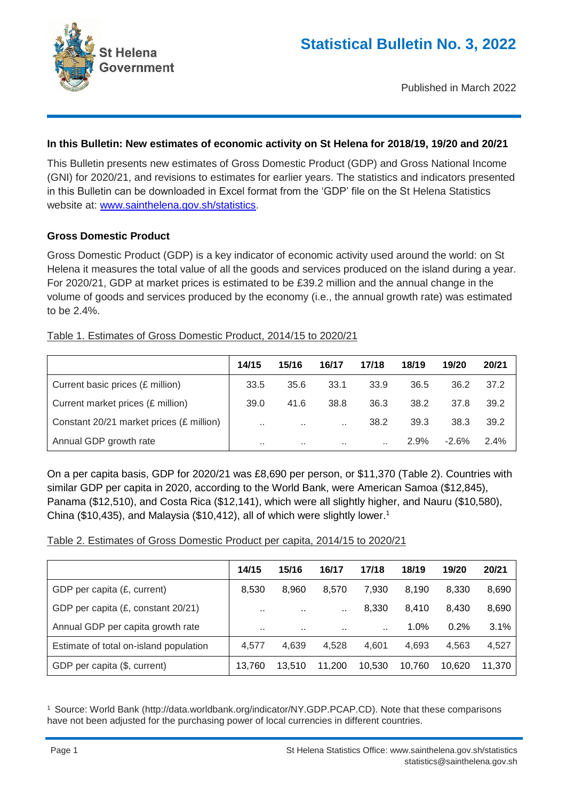

Published in March 2022

## **In this Bulletin: New estimates of economic activity on St Helena for 2018/19, 19/20 and 20/21**

This Bulletin presents new estimates of Gross Domestic Product (GDP) and Gross National Income (GNI) for 2020/21, and revisions to estimates for earlier years. The statistics and indicators presented in this Bulletin can be downloaded in Excel format from the 'GDP' file on the St Helena Statistics website at: www.sainthelena.gov.sh/statistics.

### **Gross Domestic Product**

Gross Domestic Product (GDP) is a key indicator of economic activity used around the world: on St Helena it measures the total value of all the goods and services produced on the island during a year. For 2020/21, GDP at market prices is estimated to be £39.2 million and the annual change in the volume of goods and services produced by the economy (i.e., the annual growth rate) was estimated to be 2.4%.

### Table 1. Estimates of Gross Domestic Product, 2014/15 to 2020/21

|                                          | 14/15         | 15/16                | 16/17                | 17/18 | 18/19   | 19/20   | 20/21 |
|------------------------------------------|---------------|----------------------|----------------------|-------|---------|---------|-------|
| Current basic prices (£ million)         | 33.5          | 35.6                 | 33.1                 | 33.9  | 36.5    | 36.2    | 37.2  |
| Current market prices (£ million)        | 39.0          | 41.6                 | 38.8                 | 36.3  | 38.2    | 37.8    | 39.2  |
| Constant 20/21 market prices (£ million) | $\sim$ $\sim$ | $\sim$               | $\ddotsc$            | 38.2  | 39.3    | 38.3    | 39.2  |
| Annual GDP growth rate                   | . .           | <b>A</b> 10 <b>A</b> | <b>A</b> 10 <b>A</b> |       | $2.9\%$ | $-2.6%$ | 2.4%  |

On a per capita basis, GDP for 2020/21 was £8,690 per person, or \$11,370 (Table 2). Countries with similar GDP per capita in 2020, according to the World Bank, were American Samoa (\$12,845), Panama (\$12,510), and Costa Rica (\$12,141), which were all slightly higher, and Nauru (\$10,580), China (\$10,435), and Malaysia (\$10,412), all of which were slightly lower.<sup>1</sup>

### Table 2. Estimates of Gross Domestic Product per capita, 2014/15 to 2020/21

|                                        | 14/15         | 15/16     | 16/17     | 17/18     | 18/19  | 19/20  | 20/21  |
|----------------------------------------|---------------|-----------|-----------|-----------|--------|--------|--------|
| GDP per capita (£, current)            | 8,530         | 8.960     | 8.570     | 7.930     | 8.190  | 8.330  | 8,690  |
| GDP per capita (£, constant 20/21)     | $\sim$        | $\cdot$ . |           | 8,330     | 8.410  | 8.430  | 8,690  |
| Annual GDP per capita growth rate      | $\sim$ $\sim$ | $\cdot$ . | $\cdot$ . | $\ddotsc$ | 1.0%   | 0.2%   | 3.1%   |
| Estimate of total on-island population | 4.577         | 4,639     | 4,528     | 4.601     | 4.693  | 4.563  | 4,527  |
| GDP per capita (\$, current)           | 13,760        | 13.510    | 11,200    | 10,530    | 10,760 | 10.620 | 11,370 |

<sup>1</sup> Source: World Bank (http://data.worldbank.org/indicator/NY.GDP.PCAP.CD). Note that these comparisons have not been adjusted for the purchasing power of local currencies in different countries.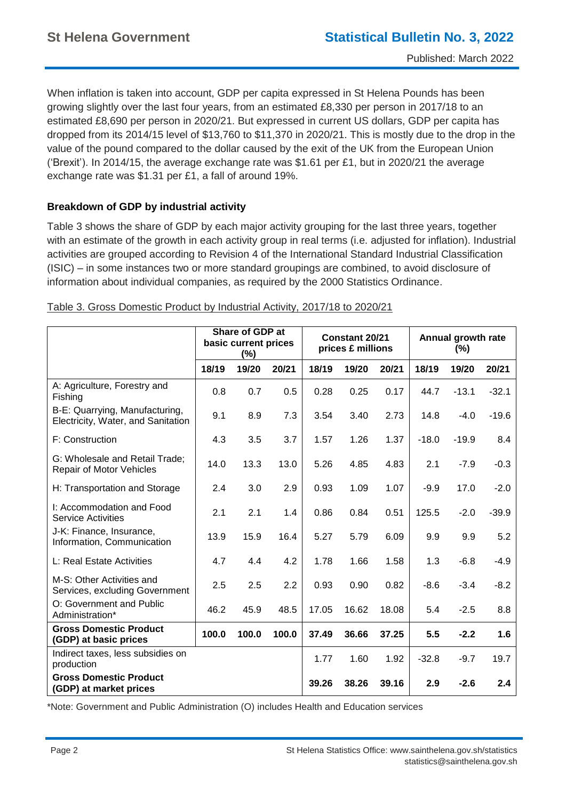When inflation is taken into account, GDP per capita expressed in St Helena Pounds has been growing slightly over the last four years, from an estimated £8,330 per person in 2017/18 to an estimated £8,690 per person in 2020/21. But expressed in current US dollars, GDP per capita has dropped from its 2014/15 level of \$13,760 to \$11,370 in 2020/21. This is mostly due to the drop in the value of the pound compared to the dollar caused by the exit of the UK from the European Union ('Brexit'). In 2014/15, the average exchange rate was \$1.61 per £1, but in 2020/21 the average exchange rate was \$1.31 per £1, a fall of around 19%.

# **Breakdown of GDP by industrial activity**

Table 3 shows the share of GDP by each major activity grouping for the last three years, together with an estimate of the growth in each activity group in real terms (i.e. adjusted for inflation). Industrial activities are grouped according to Revision 4 of the International Standard Industrial Classification (ISIC) – in some instances two or more standard groupings are combined, to avoid disclosure of information about individual companies, as required by the 2000 Statistics Ordinance.

|                                                                      | Share of GDP at<br>basic current prices<br>(%) |       | Constant 20/21<br>prices £ millions |       |       | Annual growth rate<br>$(\%)$ |         |         |         |
|----------------------------------------------------------------------|------------------------------------------------|-------|-------------------------------------|-------|-------|------------------------------|---------|---------|---------|
|                                                                      | 18/19                                          | 19/20 | 20/21                               | 18/19 | 19/20 | 20/21                        | 18/19   | 19/20   | 20/21   |
| A: Agriculture, Forestry and<br>Fishing                              | 0.8                                            | 0.7   | 0.5                                 | 0.28  | 0.25  | 0.17                         | 44.7    | $-13.1$ | $-32.1$ |
| B-E: Quarrying, Manufacturing,<br>Electricity, Water, and Sanitation | 9.1                                            | 8.9   | 7.3                                 | 3.54  | 3.40  | 2.73                         | 14.8    | $-4.0$  | $-19.6$ |
| F: Construction                                                      | 4.3                                            | 3.5   | 3.7                                 | 1.57  | 1.26  | 1.37                         | $-18.0$ | $-19.9$ | 8.4     |
| G: Wholesale and Retail Trade;<br><b>Repair of Motor Vehicles</b>    | 14.0                                           | 13.3  | 13.0                                | 5.26  | 4.85  | 4.83                         | 2.1     | $-7.9$  | $-0.3$  |
| H: Transportation and Storage                                        | 2.4                                            | 3.0   | 2.9                                 | 0.93  | 1.09  | 1.07                         | $-9.9$  | 17.0    | $-2.0$  |
| I: Accommodation and Food<br><b>Service Activities</b>               | 2.1                                            | 2.1   | 1.4                                 | 0.86  | 0.84  | 0.51                         | 125.5   | $-2.0$  | $-39.9$ |
| J-K: Finance, Insurance,<br>Information, Communication               | 13.9                                           | 15.9  | 16.4                                | 5.27  | 5.79  | 6.09                         | 9.9     | 9.9     | 5.2     |
| L: Real Estate Activities                                            | 4.7                                            | 4.4   | 4.2                                 | 1.78  | 1.66  | 1.58                         | 1.3     | $-6.8$  | $-4.9$  |
| M-S: Other Activities and<br>Services, excluding Government          | 2.5                                            | 2.5   | 2.2                                 | 0.93  | 0.90  | 0.82                         | $-8.6$  | $-3.4$  | $-8.2$  |
| O: Government and Public<br>Administration*                          | 46.2                                           | 45.9  | 48.5                                | 17.05 | 16.62 | 18.08                        | 5.4     | $-2.5$  | 8.8     |
| <b>Gross Domestic Product</b><br>(GDP) at basic prices               | 100.0                                          | 100.0 | 100.0                               | 37.49 | 36.66 | 37.25                        | 5.5     | $-2.2$  | 1.6     |
| Indirect taxes, less subsidies on<br>production                      |                                                |       |                                     | 1.77  | 1.60  | 1.92                         | $-32.8$ | $-9.7$  | 19.7    |
| <b>Gross Domestic Product</b><br>(GDP) at market prices              |                                                |       |                                     | 39.26 | 38.26 | 39.16                        | 2.9     | $-2.6$  | 2.4     |

Table 3. Gross Domestic Product by Industrial Activity, 2017/18 to 2020/21

\*Note: Government and Public Administration (O) includes Health and Education services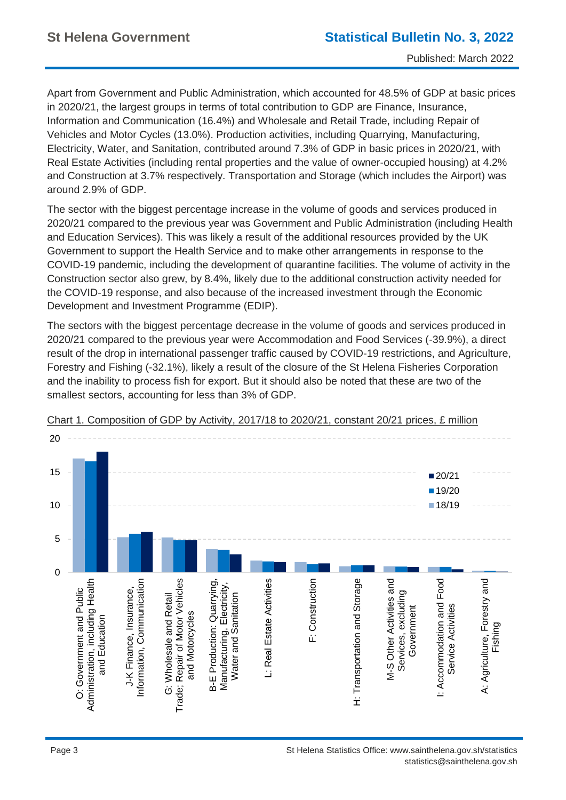Apart from Government and Public Administration, which accounted for 48.5% of GDP at basic prices in 2020/21, the largest groups in terms of total contribution to GDP are Finance, Insurance, Information and Communication (16.4%) and Wholesale and Retail Trade, including Repair of Vehicles and Motor Cycles (13.0%). Production activities, including Quarrying, Manufacturing, Electricity, Water, and Sanitation, contributed around 7.3% of GDP in basic prices in 2020/21, with Real Estate Activities (including rental properties and the value of owner-occupied housing) at 4.2% and Construction at 3.7% respectively. Transportation and Storage (which includes the Airport) was around 2.9% of GDP.

The sector with the biggest percentage increase in the volume of goods and services produced in 2020/21 compared to the previous year was Government and Public Administration (including Health and Education Services). This was likely a result of the additional resources provided by the UK Government to support the Health Service and to make other arrangements in response to the COVID-19 pandemic, including the development of quarantine facilities. The volume of activity in the Construction sector also grew, by 8.4%, likely due to the additional construction activity needed for the COVID-19 response, and also because of the increased investment through the Economic Development and Investment Programme (EDIP).

The sectors with the biggest percentage decrease in the volume of goods and services produced in 2020/21 compared to the previous year were Accommodation and Food Services (-39.9%), a direct result of the drop in international passenger traffic caused by COVID-19 restrictions, and Agriculture, Forestry and Fishing (-32.1%), likely a result of the closure of the St Helena Fisheries Corporation and the inability to process fish for export. But it should also be noted that these are two of the smallest sectors, accounting for less than 3% of GDP.



Chart 1. Composition of GDP by Activity, 2017/18 to 2020/21, constant 20/21 prices, £ million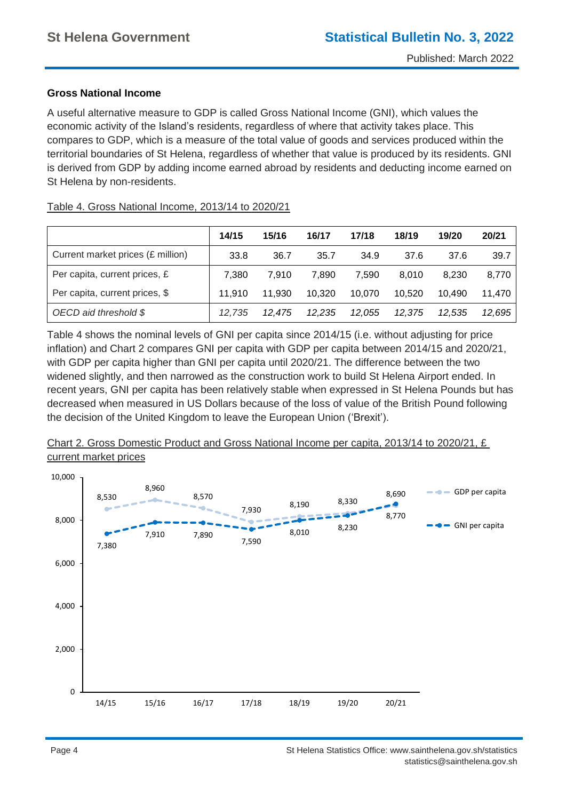### **Gross National Income**

A useful alternative measure to GDP is called Gross National Income (GNI), which values the economic activity of the Island's residents, regardless of where that activity takes place. This compares to GDP, which is a measure of the total value of goods and services produced within the territorial boundaries of St Helena, regardless of whether that value is produced by its residents. GNI is derived from GDP by adding income earned abroad by residents and deducting income earned on St Helena by non-residents.

### Table 4. Gross National Income, 2013/14 to 2020/21

|                                   | 14/15  | 15/16  | 16/17  | 17/18  | 18/19  | 19/20  | 20/21  |
|-----------------------------------|--------|--------|--------|--------|--------|--------|--------|
| Current market prices (£ million) | 33.8   | 36.7   | 35.7   | 34.9   | 37.6   | 37.6   | 39.7   |
| Per capita, current prices, £     | 7,380  | 7.910  | 7,890  | 7.590  | 8.010  | 8.230  | 8,770  |
| Per capita, current prices, \$    | 11.910 | 11.930 | 10,320 | 10.070 | 10.520 | 10.490 | 11.470 |
| OECD aid threshold \$             | 12.735 | 12.475 | 12.235 | 12.055 | 12,375 | 12.535 | 12,695 |

Table 4 shows the nominal levels of GNI per capita since 2014/15 (i.e. without adjusting for price inflation) and Chart 2 compares GNI per capita with GDP per capita between 2014/15 and 2020/21, with GDP per capita higher than GNI per capita until 2020/21. The difference between the two widened slightly, and then narrowed as the construction work to build St Helena Airport ended. In recent years, GNI per capita has been relatively stable when expressed in St Helena Pounds but has decreased when measured in US Dollars because of the loss of value of the British Pound following the decision of the United Kingdom to leave the European Union ('Brexit').



### Chart 2. Gross Domestic Product and Gross National Income per capita, 2013/14 to 2020/21, £ current market prices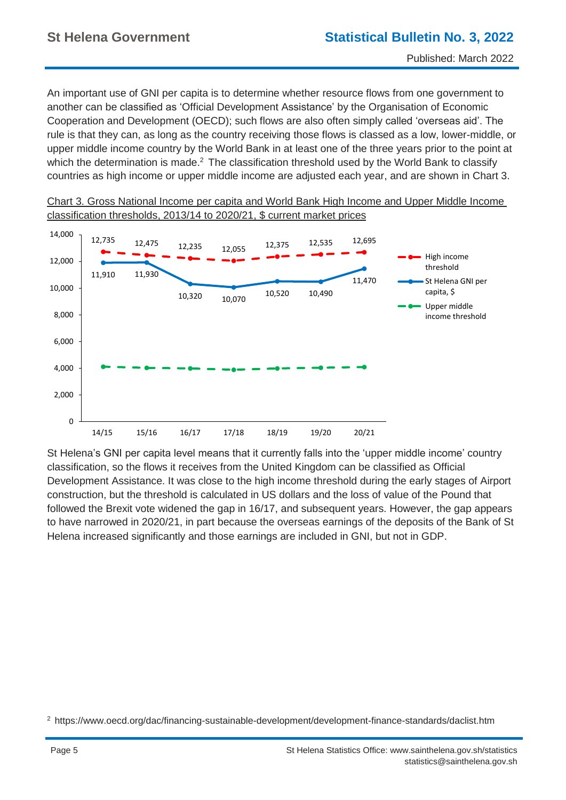An important use of GNI per capita is to determine whether resource flows from one government to another can be classified as 'Official Development Assistance' by the Organisation of Economic Cooperation and Development (OECD); such flows are also often simply called 'overseas aid'. The rule is that they can, as long as the country receiving those flows is classed as a low, lower-middle, or upper middle income country by the World Bank in at least one of the three years prior to the point at which the determination is made.<sup>2</sup> The classification threshold used by the World Bank to classify countries as high income or upper middle income are adjusted each year, and are shown in Chart 3.



Chart 3. Gross National Income per capita and World Bank High Income and Upper Middle Income classification thresholds, 2013/14 to 2020/21, \$ current market prices

St Helena's GNI per capita level means that it currently falls into the 'upper middle income' country classification, so the flows it receives from the United Kingdom can be classified as Official Development Assistance. It was close to the high income threshold during the early stages of Airport construction, but the threshold is calculated in US dollars and the loss of value of the Pound that followed the Brexit vote widened the gap in 16/17, and subsequent years. However, the gap appears to have narrowed in 2020/21, in part because the overseas earnings of the deposits of the Bank of St Helena increased significantly and those earnings are included in GNI, but not in GDP.

<sup>2</sup> https://www.oecd.org/dac/financing-sustainable-development/development-finance-standards/daclist.htm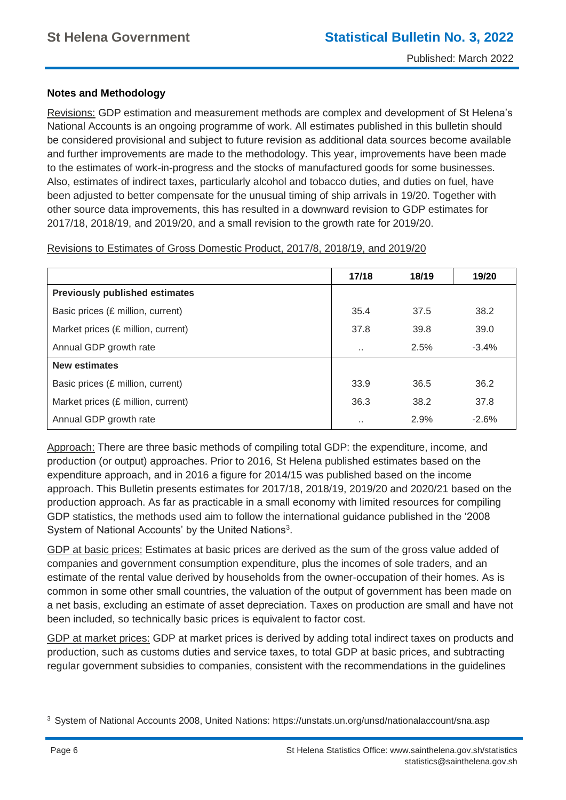### **Notes and Methodology**

Revisions: GDP estimation and measurement methods are complex and development of St Helena's National Accounts is an ongoing programme of work. All estimates published in this bulletin should be considered provisional and subject to future revision as additional data sources become available and further improvements are made to the methodology. This year, improvements have been made to the estimates of work-in-progress and the stocks of manufactured goods for some businesses. Also, estimates of indirect taxes, particularly alcohol and tobacco duties, and duties on fuel, have been adjusted to better compensate for the unusual timing of ship arrivals in 19/20. Together with other source data improvements, this has resulted in a downward revision to GDP estimates for 2017/18, 2018/19, and 2019/20, and a small revision to the growth rate for 2019/20.

Revisions to Estimates of Gross Domestic Product, 2017/8, 2018/19, and 2019/20

|                                       | 17/18                | 18/19 | 19/20   |
|---------------------------------------|----------------------|-------|---------|
| <b>Previously published estimates</b> |                      |       |         |
| Basic prices (£ million, current)     | 35.4                 | 37.5  | 38.2    |
| Market prices (£ million, current)    | 37.8                 | 39.8  | 39.0    |
| Annual GDP growth rate                |                      | 2.5%  | $-3.4%$ |
| <b>New estimates</b>                  |                      |       |         |
| Basic prices (£ million, current)     | 33.9                 | 36.5  | 36.2    |
| Market prices (£ million, current)    | 36.3                 | 38.2  | 37.8    |
| Annual GDP growth rate                | $\ddot{\phantom{a}}$ | 2.9%  | $-2.6%$ |

Approach: There are three basic methods of compiling total GDP: the expenditure, income, and production (or output) approaches. Prior to 2016, St Helena published estimates based on the expenditure approach, and in 2016 a figure for 2014/15 was published based on the income approach. This Bulletin presents estimates for 2017/18, 2018/19, 2019/20 and 2020/21 based on the production approach. As far as practicable in a small economy with limited resources for compiling GDP statistics, the methods used aim to follow the international guidance published in the '2008 System of National Accounts' by the United Nations<sup>3</sup>.

GDP at basic prices: Estimates at basic prices are derived as the sum of the gross value added of companies and government consumption expenditure, plus the incomes of sole traders, and an estimate of the rental value derived by households from the owner-occupation of their homes. As is common in some other small countries, the valuation of the output of government has been made on a net basis, excluding an estimate of asset depreciation. Taxes on production are small and have not been included, so technically basic prices is equivalent to factor cost.

GDP at market prices: GDP at market prices is derived by adding total indirect taxes on products and production, such as customs duties and service taxes, to total GDP at basic prices, and subtracting regular government subsidies to companies, consistent with the recommendations in the guidelines

<sup>3</sup> System of National Accounts 2008, United Nations: https://unstats.un.org/unsd/nationalaccount/sna.asp